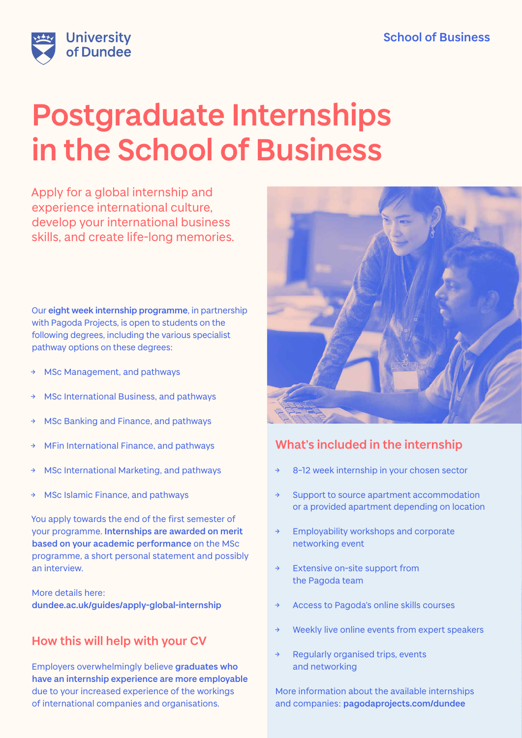

# **Postgraduate Internships in the School of Business**

Apply for a global internship and experience international culture, develop your international business skills, and create life-long memories.

Our **eight week internship programme**, in partnership with Pagoda Projects, is open to students on the following degrees, including the various specialist pathway options on these degrees:

- MSc Management, and pathways
- **MSc International Business, and pathways**
- → MSc Banking and Finance, and pathways
- MFin International Finance, and pathways
- MSc International Marketing, and pathways
- MSc Islamic Finance, and pathways

You apply towards the end of the first semester of your programme. **Internships are awarded on merit based on your academic performance** on the MSc programme, a short personal statement and possibly an interview.

More details here: **[dundee.ac.uk/guides/apply-global-internship](http://dundee.ac.uk/guides/apply-global-internship)**

# **How this will help with your CV**

Employers overwhelmingly believe **graduates who have an internship experience are more employable** due to your increased experience of the workings of international companies and organisations.



# **What's included in the internship**

- 8-12 week internship in your chosen sector
- Support to source apartment accommodation or a provided apartment depending on location
- Employability workshops and corporate networking event
- Extensive on-site support from the Pagoda team
- Access to Pagoda's online skills courses
- Weekly live online events from expert speakers
- Regularly organised trips, events and networking

More information about the available internships and companies: **[pagodaprojects.com/dundee](http://pagodaprojects.com/dundee)**